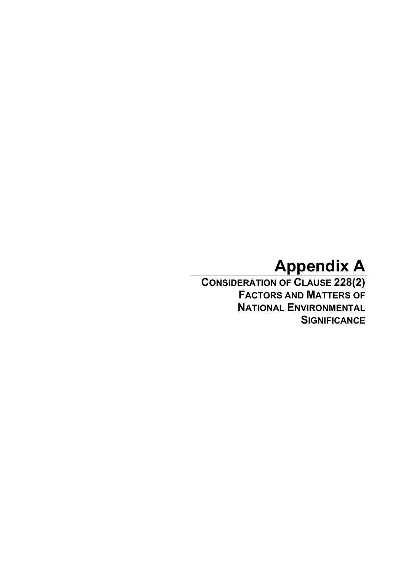# **Appendix A**

**CONSIDERATION OF CLAUSE 228(2) FACTORS AND MATTERS OF NATIONAL ENVIRONMENTAL SIGNIFICANCE**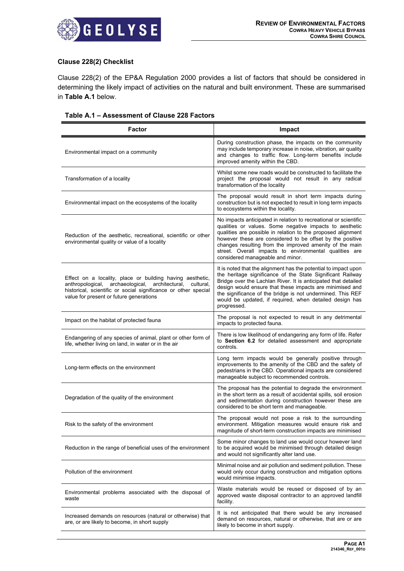

## **Clause 228(2) Checklist**

Clause 228(2) of the EP&A Regulation 2000 provides a list of factors that should be considered in determining the likely impact of activities on the natural and built environment. These are summarised in **Table A.1** below.

## **Table A.1 – Assessment of Clause 228 Factors**

| <b>Factor</b>                                                                                                                                                                                                                          | Impact                                                                                                                                                                                                                                                                                                                                                                                                            |  |  |
|----------------------------------------------------------------------------------------------------------------------------------------------------------------------------------------------------------------------------------------|-------------------------------------------------------------------------------------------------------------------------------------------------------------------------------------------------------------------------------------------------------------------------------------------------------------------------------------------------------------------------------------------------------------------|--|--|
| Environmental impact on a community                                                                                                                                                                                                    | During construction phase, the impacts on the community<br>may include temporary increase in noise, vibration, air quality<br>and changes to traffic flow. Long-term benefits include<br>improved amenity within the CBD.                                                                                                                                                                                         |  |  |
| Transformation of a locality                                                                                                                                                                                                           | Whilst some new roads would be constructed to facilitate the<br>project the proposal would not result in any radical<br>transformation of the locality                                                                                                                                                                                                                                                            |  |  |
| Environmental impact on the ecosystems of the locality                                                                                                                                                                                 | The proposal would result in short term impacts during<br>construction but is not expected to result in long term impacts<br>to ecosystems within the locality.                                                                                                                                                                                                                                                   |  |  |
| Reduction of the aesthetic, recreational, scientific or other<br>environmental quality or value of a locality                                                                                                                          | No impacts anticipated in relation to recreational or scientific<br>qualities or values. Some negative impacts to aesthetic<br>qualities are possible in relation to the proposed alignment<br>however these are considered to be offset by the positive<br>changes resulting from the improved amenity of the main<br>street. Overall impacts to environmental qualities are<br>considered manageable and minor. |  |  |
| Effect on a locality, place or building having aesthetic,<br>anthropological, archaeological, architectural,<br>cultural,<br>historical, scientific or social significance or other special<br>value for present or future generations | It is noted that the alignment has the potential to impact upon<br>the heritage significance of the State Significant Railway<br>Bridge over the Lachlan River. It is anticipated that detailed<br>design would ensure that these impacts are minimised and<br>the significance of the bridge is not undermined. This REF<br>would be updated, if required, when detailed design has<br>progressed.               |  |  |
| Impact on the habitat of protected fauna                                                                                                                                                                                               | The proposal is not expected to result in any detrimental<br>impacts to protected fauna.                                                                                                                                                                                                                                                                                                                          |  |  |
| Endangering of any species of animal, plant or other form of<br>life, whether living on land, in water or in the air                                                                                                                   | There is low likelihood of endangering any form of life. Refer<br>to Section 6.2 for detailed assessment and appropriate<br>controls.                                                                                                                                                                                                                                                                             |  |  |
| Long-term effects on the environment                                                                                                                                                                                                   | Long term impacts would be generally positive through<br>improvements to the amenity of the CBD and the safety of<br>pedestrians in the CBD. Operational impacts are considered<br>manageable subject to recommended controls.                                                                                                                                                                                    |  |  |
| Degradation of the quality of the environment                                                                                                                                                                                          | The proposal has the potential to degrade the environment<br>in the short term as a result of accidental spills, soil erosion<br>and sedimentation during construction however these are<br>considered to be short term and manageable.                                                                                                                                                                           |  |  |
| Risk to the safety of the environment                                                                                                                                                                                                  | The proposal would not pose a risk to the surrounding<br>environment. Mitigation measures would ensure risk and<br>magnitude of short-term construction impacts are minimised                                                                                                                                                                                                                                     |  |  |
| Reduction in the range of beneficial uses of the environment                                                                                                                                                                           | Some minor changes to land use would occur however land<br>to be acquired would be minimised through detailed design<br>and would not significantly alter land use.                                                                                                                                                                                                                                               |  |  |
| Pollution of the environment                                                                                                                                                                                                           | Minimal noise and air pollution and sediment pollution. These<br>would only occur during construction and mitigation options<br>would minimise impacts.                                                                                                                                                                                                                                                           |  |  |
| Environmental problems associated with the disposal of<br>waste                                                                                                                                                                        | Waste materials would be reused or disposed of by an<br>approved waste disposal contractor to an approved landfill<br>facility.                                                                                                                                                                                                                                                                                   |  |  |
| Increased demands on resources (natural or otherwise) that<br>are, or are likely to become, in short supply                                                                                                                            | It is not anticipated that there would be any increased<br>demand on resources, natural or otherwise, that are or are<br>likely to become in short supply.                                                                                                                                                                                                                                                        |  |  |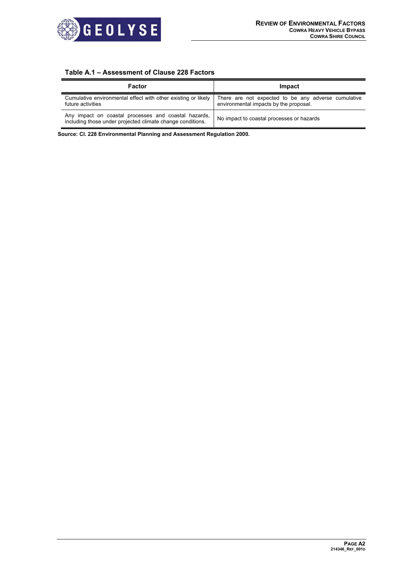

# **Table A.1 – Assessment of Clause 228 Factors**

| Factor                                                                                                             | Impact                                                                                        |
|--------------------------------------------------------------------------------------------------------------------|-----------------------------------------------------------------------------------------------|
| Cumulative environmental effect with other existing or likely<br>future activities                                 | There are not expected to be any adverse cumulative<br>environmental impacts by the proposal. |
| Any impact on coastal processes and coastal hazards,<br>including those under projected climate change conditions. | No impact to coastal processes or hazards                                                     |

**Source: Cl. 228 Environmental Planning and Assessment Regulation 2000.**